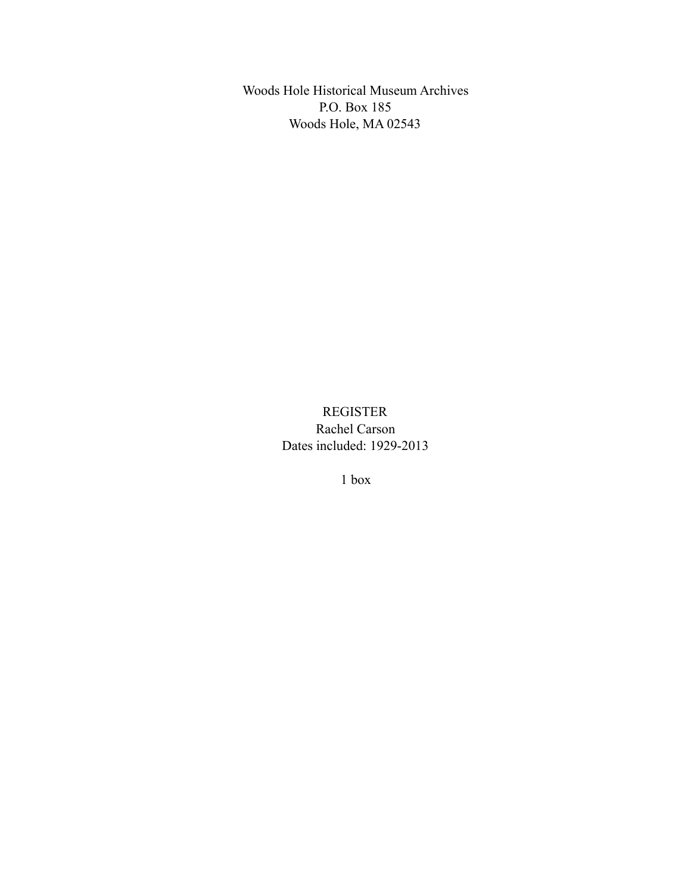Woods Hole Historical Museum Archives P.O. Box 185 Woods Hole, MA 02543

> REGISTER Rachel Carson Dates included: 1929-2013

> > 1 box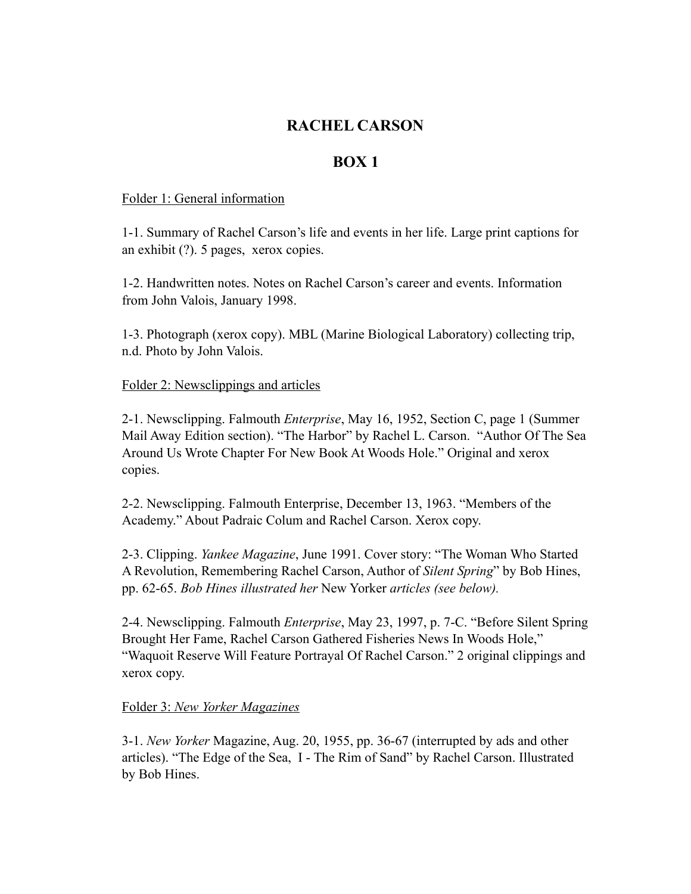# **RACHEL CARSON**

## **BOX 1**

#### Folder 1: General information

1-1. Summary of Rachel Carson's life and events in her life. Large print captions for an exhibit (?). 5 pages, xerox copies.

1-2. Handwritten notes. Notes on Rachel Carson's career and events. Information from John Valois, January 1998.

1-3. Photograph (xerox copy). MBL (Marine Biological Laboratory) collecting trip, n.d. Photo by John Valois.

## Folder 2: Newsclippings and articles

2-1. Newsclipping. Falmouth *Enterprise*, May 16, 1952, Section C, page 1 (Summer Mail Away Edition section). "The Harbor" by Rachel L. Carson. "Author Of The Sea Around Us Wrote Chapter For New Book At Woods Hole." Original and xerox copies.

2-2. Newsclipping. Falmouth Enterprise, December 13, 1963. "Members of the Academy." About Padraic Colum and Rachel Carson. Xerox copy.

2-3. Clipping. *Yankee Magazine*, June 1991. Cover story: "The Woman Who Started A Revolution, Remembering Rachel Carson, Author of *Silent Spring*" by Bob Hines, pp. 62-65. *Bob Hines illustrated her* New Yorker *articles (see below).* 

2-4. Newsclipping. Falmouth *Enterprise*, May 23, 1997, p. 7-C. "Before Silent Spring Brought Her Fame, Rachel Carson Gathered Fisheries News In Woods Hole," "Waquoit Reserve Will Feature Portrayal Of Rachel Carson." 2 original clippings and xerox copy.

## Folder 3: *New Yorker Magazines*

3-1. *New Yorker* Magazine, Aug. 20, 1955, pp. 36-67 (interrupted by ads and other articles). "The Edge of the Sea, I - The Rim of Sand" by Rachel Carson. Illustrated by Bob Hines.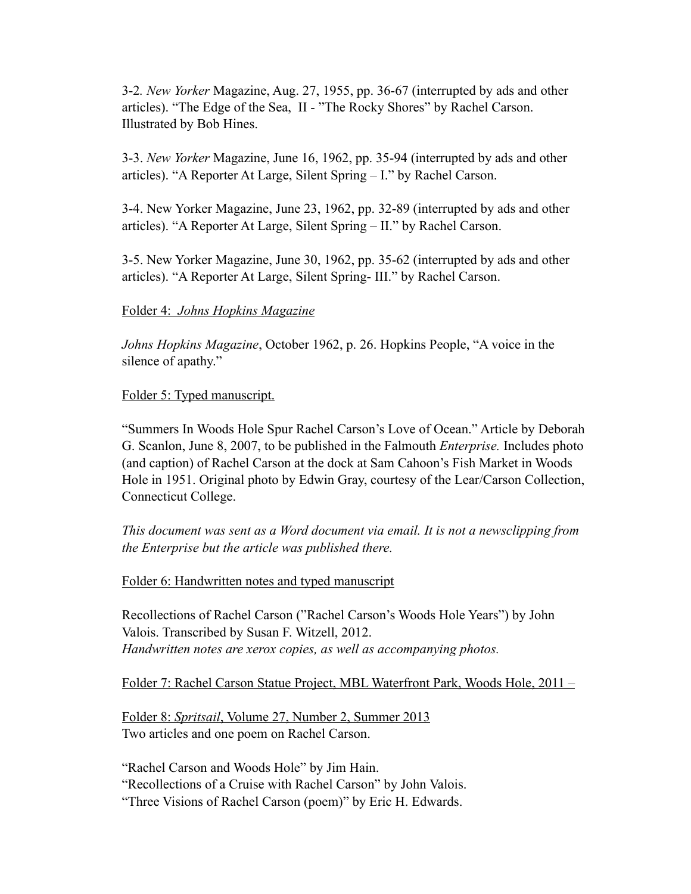3-2*. New Yorker* Magazine, Aug. 27, 1955, pp. 36-67 (interrupted by ads and other articles). "The Edge of the Sea, II - "The Rocky Shores" by Rachel Carson. Illustrated by Bob Hines.

3-3. *New Yorker* Magazine, June 16, 1962, pp. 35-94 (interrupted by ads and other articles). "A Reporter At Large, Silent Spring – I." by Rachel Carson.

3-4. New Yorker Magazine, June 23, 1962, pp. 32-89 (interrupted by ads and other articles). "A Reporter At Large, Silent Spring – II." by Rachel Carson.

3-5. New Yorker Magazine, June 30, 1962, pp. 35-62 (interrupted by ads and other articles). "A Reporter At Large, Silent Spring- III." by Rachel Carson.

#### Folder 4: *Johns Hopkins Magazine*

*Johns Hopkins Magazine*, October 1962, p. 26. Hopkins People, "A voice in the silence of apathy."

#### Folder 5: Typed manuscript.

"Summers In Woods Hole Spur Rachel Carson's Love of Ocean." Article by Deborah G. Scanlon, June 8, 2007, to be published in the Falmouth *Enterprise.* Includes photo (and caption) of Rachel Carson at the dock at Sam Cahoon's Fish Market in Woods Hole in 1951. Original photo by Edwin Gray, courtesy of the Lear/Carson Collection, Connecticut College.

*This document was sent as a Word document via email. It is not a newsclipping from the Enterprise but the article was published there.* 

#### Folder 6: Handwritten notes and typed manuscript

Recollections of Rachel Carson ("Rachel Carson's Woods Hole Years") by John Valois. Transcribed by Susan F. Witzell, 2012. *Handwritten notes are xerox copies, as well as accompanying photos.* 

Folder 7: Rachel Carson Statue Project, MBL Waterfront Park, Woods Hole, 2011 –

Folder 8: *Spritsail*, Volume 27, Number 2, Summer 2013 Two articles and one poem on Rachel Carson.

"Rachel Carson and Woods Hole" by Jim Hain.

"Recollections of a Cruise with Rachel Carson" by John Valois.

"Three Visions of Rachel Carson (poem)" by Eric H. Edwards.